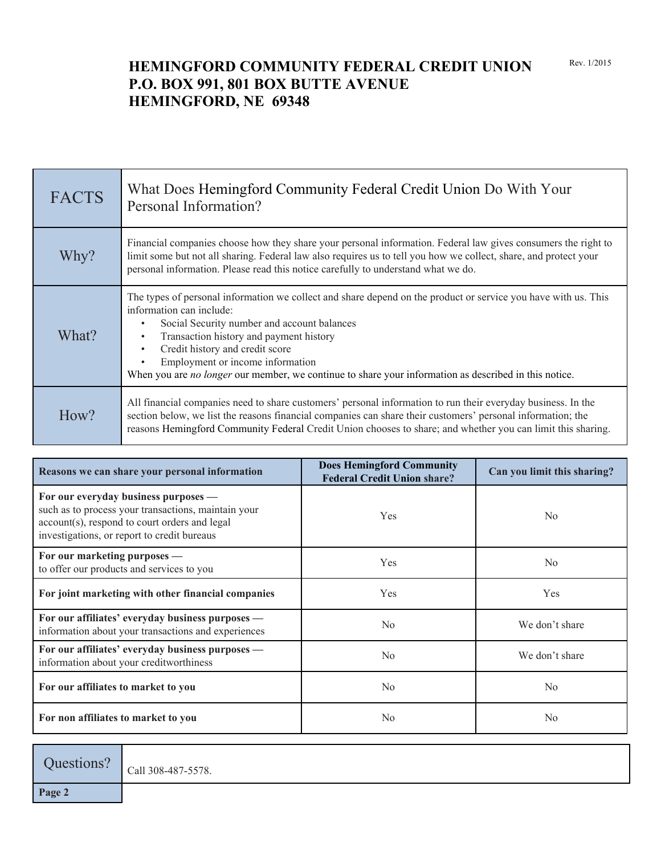## **HEMINGFORD COMMUNITY FEDERAL CREDIT UNION P.O. BOX 991, 801 BOX BUTTE AVENUE HEMINGFORD, NE 69348**

| <b>FACTS</b> | What Does Hemingford Community Federal Credit Union Do With Your<br>Personal Information?                                                                                                                                                                                                                                                                                                                                                                   |
|--------------|-------------------------------------------------------------------------------------------------------------------------------------------------------------------------------------------------------------------------------------------------------------------------------------------------------------------------------------------------------------------------------------------------------------------------------------------------------------|
| Why?         | Financial companies choose how they share your personal information. Federal law gives consumers the right to<br>limit some but not all sharing. Federal law also requires us to tell you how we collect, share, and protect your<br>personal information. Please read this notice carefully to understand what we do.                                                                                                                                      |
| What?        | The types of personal information we collect and share depend on the product or service you have with us. This<br>information can include:<br>Social Security number and account balances<br>$\bullet$<br>Transaction history and payment history<br>$\bullet$<br>Credit history and credit score<br>$\bullet$<br>Employment or income information<br>When you are no longer our member, we continue to share your information as described in this notice. |
| How?         | All financial companies need to share customers' personal information to run their everyday business. In the<br>section below, we list the reasons financial companies can share their customers' personal information; the<br>reasons Hemingford Community Federal Credit Union chooses to share; and whether you can limit this sharing.                                                                                                                  |

| Reasons we can share your personal information                                                                                                                                              | <b>Does Hemingford Community</b><br><b>Federal Credit Union share?</b> | Can you limit this sharing? |
|---------------------------------------------------------------------------------------------------------------------------------------------------------------------------------------------|------------------------------------------------------------------------|-----------------------------|
| For our everyday business purposes —<br>such as to process your transactions, maintain your<br>account(s), respond to court orders and legal<br>investigations, or report to credit bureaus | <b>Yes</b>                                                             | N <sub>0</sub>              |
| For our marketing purposes —<br>to offer our products and services to you                                                                                                                   | Yes                                                                    | N <sub>0</sub>              |
| For joint marketing with other financial companies                                                                                                                                          | Yes                                                                    | Yes                         |
| For our affiliates' everyday business purposes —<br>information about your transactions and experiences                                                                                     | No                                                                     | We don't share              |
| For our affiliates' everyday business purposes -<br>information about your creditworthiness                                                                                                 | No                                                                     | We don't share              |
| For our affiliates to market to you                                                                                                                                                         | N <sub>0</sub>                                                         | N <sub>0</sub>              |
| For non affiliates to market to you                                                                                                                                                         | N <sub>0</sub>                                                         | N <sub>0</sub>              |

Questions?  $\vert$  Call 308-487-5578.

**Page 2**